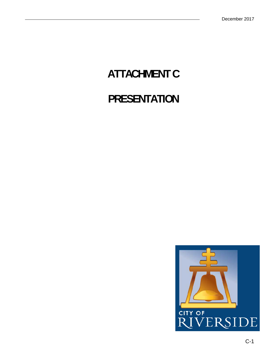## **ATTACHMENT C**

## **PRESENTATION**

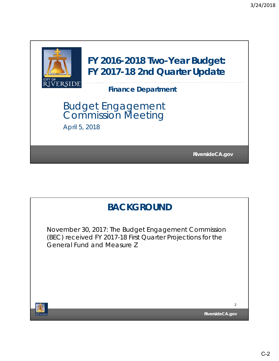

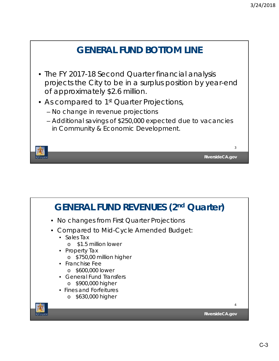

- projects the City to be in a surplus position by year-end of approximately \$2.6 million.
- As compared to 1<sup>st</sup> Quarter Projections,
	- No change in revenue projections
	- Additional savings of \$250,000 expected due to vacancies in Community & Economic Development.



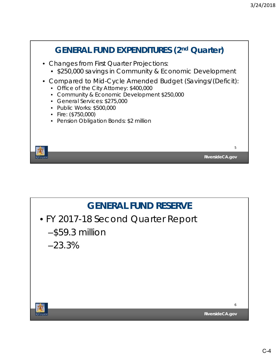